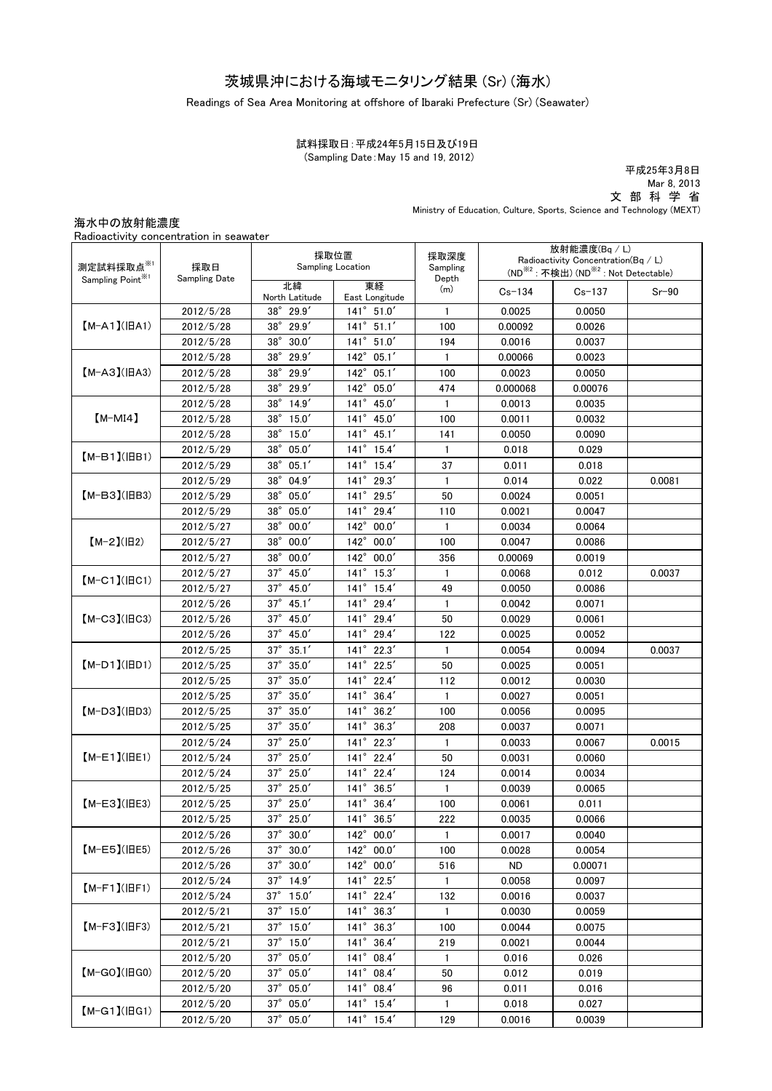## 茨城県沖における海域モニタリング結果 (Sr) (海水)

Readings of Sea Area Monitoring at offshore of Ibaraki Prefecture (Sr) (Seawater)

## (Sampling Date:May 15 and 19, 2012) 試料採取日:平成24年5月15日及び19日

平成25年3月8日 Mar 8, 2013 文 部 科 学 省

Ministry of Education, Culture, Sports, Science and Technology (MEXT)

| Radioactivity concentration in seawater<br>測定試料採取点※1<br>Sampling Point <sup>361</sup> | 採取日<br>Sampling Date | 採取位置<br><b>Sampling Location</b> |                            | 採取深度<br>Sampling<br>Depth | 放射能濃度(Bq / L)<br>Radioactivity Concentration(Bq / L)<br>(ND <sup>※2</sup> : 不検出) (ND <sup>※2</sup> : Not Detectable) |            |         |
|---------------------------------------------------------------------------------------|----------------------|----------------------------------|----------------------------|---------------------------|----------------------------------------------------------------------------------------------------------------------|------------|---------|
|                                                                                       |                      | 北緯<br>North Latitude             | 東経<br>East Longitude       | (m)                       | $Cs - 134$                                                                                                           | $Cs - 137$ | $Sr-90$ |
| $[M-A1](HA1)$                                                                         | 2012/5/28            | 38° 29.9'                        | $141^{\circ}$ 51.0'        | 1                         | 0.0025                                                                                                               | 0.0050     |         |
|                                                                                       | 2012/5/28            | $38^\circ$<br>29.9'              | $141^{\circ}$ 51.1'        | 100                       | 0.00092                                                                                                              | 0.0026     |         |
|                                                                                       | 2012/5/28            | $38^\circ$<br>30.0'              | 141° 51.0'                 | 194                       | 0.0016                                                                                                               | 0.0037     |         |
| $[M-A3](HA3)$                                                                         | 2012/5/28            | $38^\circ$<br>29.9'              | $142^{\circ}$ 05.1'        | 1                         | 0.00066                                                                                                              | 0.0023     |         |
|                                                                                       | 2012/5/28            | $38^\circ$<br>29.9'              | 142° 05.1'                 | 100                       | 0.0023                                                                                                               | 0.0050     |         |
|                                                                                       | 2012/5/28            | $38^\circ$<br>29.9'              | 142° 05.0'                 | 474                       | 0.000068                                                                                                             | 0.00076    |         |
| $(M-MI4)$                                                                             | 2012/5/28            | $38^\circ$<br>14.9'              | 141° 45.0'                 | 1                         | 0.0013                                                                                                               | 0.0035     |         |
|                                                                                       | 2012/5/28            | $38^\circ$<br>15.0'              | 141° 45.0'                 | 100                       | 0.0011                                                                                                               | 0.0032     |         |
|                                                                                       | 2012/5/28            | $38^\circ$<br>15.0'              | $141^{\circ}$ 45.1'        | 141                       | 0.0050                                                                                                               | 0.0090     |         |
| $(M-B1)(IBB1)$                                                                        | 2012/5/29            | $38^\circ$<br>05.0'              | 141° 15.4'                 | 1                         | 0.018                                                                                                                | 0.029      |         |
|                                                                                       | 2012/5/29            | $38^\circ$<br>05.1'              | 141° 15.4'                 | 37                        | 0.011                                                                                                                | 0.018      |         |
|                                                                                       | 2012/5/29            | $38^\circ$<br>04.9'              | 141° 29.3'                 | 1                         | 0.014                                                                                                                | 0.022      | 0.0081  |
| $(M-B3)(HB3)$                                                                         | 2012/5/29            | $38^{\circ}$<br>05.0'            | 141° 29.5'                 | 50                        | 0.0024                                                                                                               | 0.0051     |         |
|                                                                                       | 2012/5/29            | $38^\circ$<br>05.0'              | 141° 29.4'                 | 110                       | 0.0021                                                                                                               | 0.0047     |         |
|                                                                                       | 2012/5/27            | $38^\circ$<br>$00.0'$            | 142° 00.0'                 | $\mathbf{1}$              | 0.0034                                                                                                               | 0.0064     |         |
| $[M-2](H2)$                                                                           | 2012/5/27            | $38^\circ$<br>00.0'              | 142° 00.0'                 | 100                       | 0.0047                                                                                                               | 0.0086     |         |
|                                                                                       | 2012/5/27            | 38° 00.0'                        | 142° 00.0'                 | 356                       | 0.00069                                                                                                              | 0.0019     |         |
| $[M-C1]$ ( $ HCl$ )                                                                   | 2012/5/27            | 45.0'<br>$37^\circ$              | 141° 15.3'                 | 1                         | 0.0068                                                                                                               | 0.012      | 0.0037  |
|                                                                                       | 2012/5/27            | 37° 45.0'                        | $141^{\circ}$ 15.4'        | 49                        | 0.0050                                                                                                               | 0.0086     |         |
| $[M-C3]$ ( $ HC3$ )                                                                   | 2012/5/26            | $37^\circ$<br>45.1'              | 141° 29.4'                 | $\mathbf{1}$              | 0.0042                                                                                                               | 0.0071     |         |
|                                                                                       | 2012/5/26            | 45.0'<br>$37^\circ$              | 141° 29.4'                 | 50                        | 0.0029                                                                                                               | 0.0061     |         |
|                                                                                       | 2012/5/26            | 37° 45.0'                        | 141° 29.4'                 | 122                       | 0.0025                                                                                                               | 0.0052     |         |
| $(M-D1)(HD1)$                                                                         | 2012/5/25            | $37^\circ$<br>35.1'              | 141° 22.3'                 | 1                         | 0.0054                                                                                                               | 0.0094     | 0.0037  |
|                                                                                       | 2012/5/25            | $37^\circ$<br>35.0'              | 141° 22.5'                 | 50                        | 0.0025                                                                                                               | 0.0051     |         |
|                                                                                       | 2012/5/25            | $37^\circ$<br>35.0'              | 141° 22.4'                 | 112                       | 0.0012                                                                                                               | 0.0030     |         |
|                                                                                       | 2012/5/25            | $37^\circ$<br>35.0'              | 141° 36.4'                 | $\mathbf{1}$              | 0.0027                                                                                                               | 0.0051     |         |
| $[M-D3]$ ( $ HD3$ )                                                                   | 2012/5/25            | $37^\circ$<br>35.0'              | $141^\circ$<br>36.2'       | 100                       | 0.0056                                                                                                               | 0.0095     |         |
|                                                                                       | 2012/5/25            | $37^\circ$<br>35.0'              | $141^\circ$<br>36.3'       | 208                       | 0.0037                                                                                                               | 0.0071     |         |
|                                                                                       | 2012/5/24            | $37^\circ$<br>25.0'              | $141^\circ$<br>22.3'       | $\mathbf{1}$              | 0.0033                                                                                                               | 0.0067     | 0.0015  |
| $(M-E1)(HE1)$                                                                         | 2012/5/24            | $37^\circ$<br>25.0'              | 141° 22.4'                 | 50                        | 0.0031                                                                                                               | 0.0060     |         |
|                                                                                       | 2012/5/24            | $37^\circ$<br>25.0'              | $141^\circ$<br>22.4'       | 124                       | 0.0014                                                                                                               | 0.0034     |         |
| $[M-E3](HE3)$                                                                         | 2012/5/25            | 37° 25.0'                        | 141° 36.5'                 | $\mathbf{1}$              | 0.0039                                                                                                               | 0.0065     |         |
|                                                                                       | 2012/5/25            | $37^{\circ}$ 25.0'               | 141° 36.4'                 | 100                       | 0.0061                                                                                                               | 0.011      |         |
|                                                                                       | 2012/5/25            | $37^\circ$<br>25.0'              | 141° 36.5'                 | 222                       | 0.0035                                                                                                               | 0.0066     |         |
| $[M-E5]$ (IBE5)                                                                       | 2012/5/26            | $37^\circ$<br>30.0'              | 142° 00.0'                 | 1                         | 0.0017                                                                                                               | 0.0040     |         |
|                                                                                       | 2012/5/26            | $37^\circ$<br>30.0'              | 142° 00.0'                 | 100                       | 0.0028                                                                                                               | 0.0054     |         |
|                                                                                       | 2012/5/26            | $37^\circ$<br>30.0'              | 142° 00.0'                 | 516                       | <b>ND</b>                                                                                                            | 0.00071    |         |
| $(M-F1)(HF1)$                                                                         | 2012/5/24            | $37^\circ$<br>14.9'              | 141° 22.5'                 | 1                         | 0.0058                                                                                                               | 0.0097     |         |
|                                                                                       | 2012/5/24            | $37^\circ$<br>15.0'              | 141° 22.4'                 | 132                       | 0.0016                                                                                                               | 0.0037     |         |
| $[M-F3](HF3)$                                                                         | 2012/5/21            | $37^\circ$<br>15.0'              | 141° 36.3'                 | 1                         | 0.0030                                                                                                               | 0.0059     |         |
|                                                                                       | 2012/5/21            | $37^\circ$<br>15.0'              | $141^{\circ}$ 36.3'        | 100                       | 0.0044                                                                                                               | 0.0075     |         |
|                                                                                       | 2012/5/21            | $37^\circ$<br>15.0'              | 141° 36.4'                 | 219                       | 0.0021                                                                                                               | 0.0044     |         |
| $[M-GO](HGO)$                                                                         | 2012/5/20            | $37^\circ$<br>05.0'              | 141° 08.4'                 | $\mathbf{1}$              | 0.016                                                                                                                | 0.026      |         |
|                                                                                       | 2012/5/20            | $37^\circ$<br>05.0'              | 141° 08.4'                 | 50                        | 0.012                                                                                                                | 0.019      |         |
|                                                                                       | 2012/5/20            | $37^\circ$<br>05.0'              | 141° 08.4'                 | 96                        | 0.011                                                                                                                | 0.016      |         |
|                                                                                       | 2012/5/20            | $37^{\circ}$ 05.0'               | $141^\circ$ 15.4 $^\prime$ | 1                         | 0.018                                                                                                                | 0.027      |         |
| $[M-G1]$ ( $ HG1$ )                                                                   | 2012/5/20            | $37^{\circ}$ 05.0'               | $141^{\circ}$ 15.4'        | 129                       | 0.0016                                                                                                               | 0.0039     |         |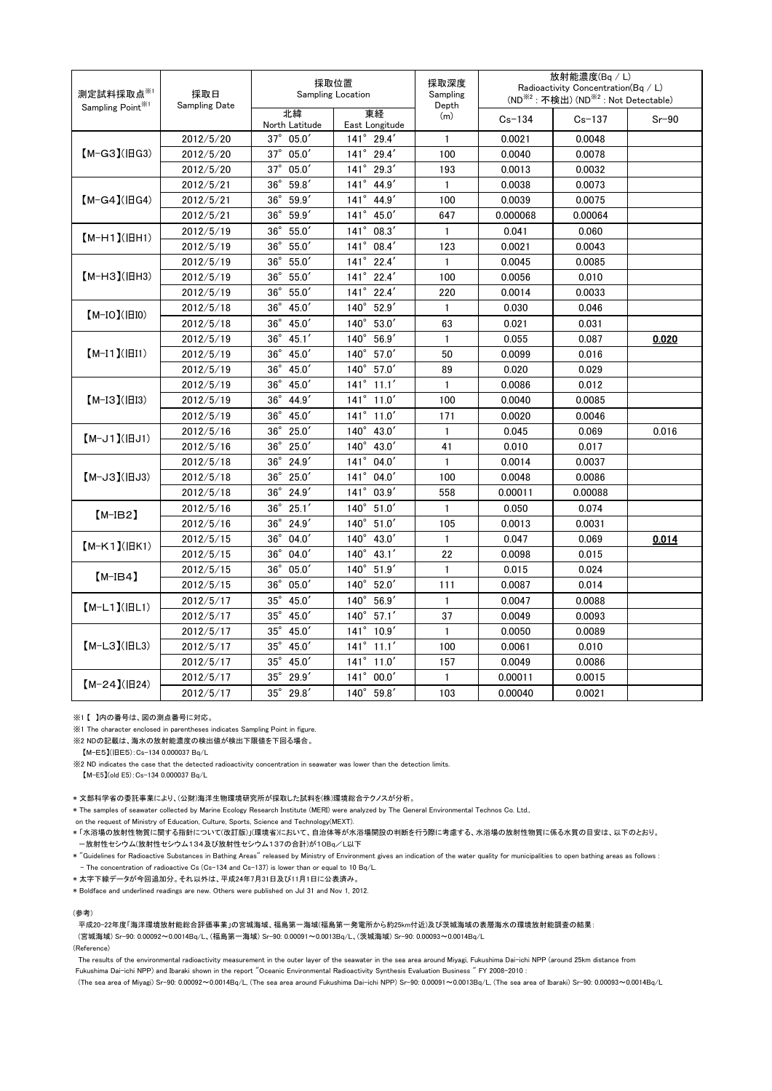| 測定試料採取点※1<br>Sampling Point <sup>361</sup> | 採取日<br>Sampling Date | 採取位置<br>Sampling Location     |                               | 採取深度<br>Sampling<br>Depth | 放射能濃度(Bq/L)<br>Radioactivity Concentration(Bq / L)<br>(ND <sup>※2</sup> : 不検出) (ND <sup>※2</sup> : Not Detectable) |            |         |
|--------------------------------------------|----------------------|-------------------------------|-------------------------------|---------------------------|--------------------------------------------------------------------------------------------------------------------|------------|---------|
|                                            |                      | 北緯<br>North Latitude          | 東経<br>East Longitude          | (m)                       | $Cs - 134$                                                                                                         | $Cs - 137$ | $Sr-90$ |
| $[M-G3](HG3)$                              | 2012/5/20            | $37^{\circ}$ 05.0'            | $141^{\circ}$ 29.4'           | $\mathbf{1}$              | 0.0021                                                                                                             | 0.0048     |         |
|                                            | 2012/5/20            | $37^{\circ}$ 05.0'            | 141° 29.4'                    | 100                       | 0.0040                                                                                                             | 0.0078     |         |
|                                            | 2012/5/20            | $37^\circ$<br>05.0'           | 141° 29.3'                    | 193                       | 0.0013                                                                                                             | 0.0032     |         |
| $[M-G4](HG4)$                              | 2012/5/21            | $36^{\circ}$<br>59.8'         | $\frac{1}{141}$ ° 44.9'       | $\mathbf{1}$              | 0.0038                                                                                                             | 0.0073     |         |
|                                            | 2012/5/21            | $36^{\circ}$<br>59.9'         | $\frac{1}{141}$ ° 44.9'       | 100                       | 0.0039                                                                                                             | 0.0075     |         |
|                                            | 2012/5/21            | $36^\circ$<br>$59.9^{\prime}$ | $\frac{1}{141^{\circ}}$ 45.0' | 647                       | 0.000068                                                                                                           | 0.00064    |         |
| $(M-H1)(HH1)$                              | 2012/5/19            | $36^{\circ}$<br>55.0'         | 141° 08.3'                    | 1                         | 0.041                                                                                                              | 0.060      |         |
|                                            | 2012/5/19            | $36^\circ$<br>55.0'           | $141^{\circ}$ 08.4'           | 123                       | 0.0021                                                                                                             | 0.0043     |         |
| 【М-НЗ】(旧Н3)                                | 2012/5/19            | 55.0'<br>$36^\circ$           | $141^{\circ}$ 22.4'           | $\mathbf{1}$              | 0.0045                                                                                                             | 0.0085     |         |
|                                            | 2012/5/19            | $36^\circ$<br>55.0'           | $141^\circ$<br>22.4'          | 100                       | 0.0056                                                                                                             | 0.010      |         |
|                                            | 2012/5/19            | $36^{\circ}$<br>55.0'         | 141° 22.4'                    | 220                       | 0.0014                                                                                                             | 0.0033     |         |
| $[M-IO](HIO)$                              | 2012/5/18            | $36^\circ$<br>45.0'           | 140° 52.9'                    | $\mathbf{1}$              | 0.030                                                                                                              | 0.046      |         |
|                                            | 2012/5/18            | $36^{\circ}$<br>45.0'         | $140^\circ$<br>53.0'          | 63                        | 0.021                                                                                                              | 0.031      |         |
| $[M-I1]( H1)$                              | 2012/5/19            | $36^\circ$<br>45.1'           | 140° 56.9'                    | 1                         | 0.055                                                                                                              | 0.087      | 0.020   |
|                                            | 2012/5/19            | $36^{\circ}$<br>45.0'         | $140^\circ$<br>57.0'          | 50                        | 0.0099                                                                                                             | 0.016      |         |
|                                            | 2012/5/19            | $36^{\circ}$<br>45.0'         | $140^\circ$<br>57.0'          | 89                        | 0.020                                                                                                              | 0.029      |         |
| $[M-I3]( H13)$                             | 2012/5/19            | $36^\circ$<br>45.0'           | $141^\circ$<br>11.1'          | $\mathbf{1}$              | 0.0086                                                                                                             | 0.012      |         |
|                                            | 2012/5/19            | $36^\circ$<br>44.9'           | 141° 11.0'                    | 100                       | 0.0040                                                                                                             | 0.0085     |         |
|                                            | 2012/5/19            | 45.0'<br>$36^{\circ}$         | 141° 11.0'                    | 171                       | 0.0020                                                                                                             | 0.0046     |         |
| $(M-J1)(HJI)$                              | 2012/5/16            | 25.0'<br>$36^{\circ}$         | 43.0'<br>$140^\circ$          | $\mathbf{1}$              | 0.045                                                                                                              | 0.069      | 0.016   |
|                                            | 2012/5/16            | $36^{\circ}$<br>25.0'         | $140^\circ$<br>43.0'          | 41                        | 0.010                                                                                                              | 0.017      |         |
| $[M-J3](HJ3)$                              | 2012/5/18            | $36^{\circ}$<br>24.9'         | $141^\circ$<br>04.0'          | $\mathbf{1}$              | 0.0014                                                                                                             | 0.0037     |         |
|                                            | 2012/5/18            | $36^\circ$<br>25.0'           | $141^\circ$<br>04.0'          | 100                       | 0.0048                                                                                                             | 0.0086     |         |
|                                            | 2012/5/18            | $36^{\circ}$<br>24.9'         | $141^\circ$<br>03.9'          | 558                       | 0.00011                                                                                                            | 0.00088    |         |
| $[M-IB2]$                                  | 2012/5/16            | $36^{\circ}$<br>25.1'         | $140^{\circ}$ 51.0'           | $\mathbf{1}$              | 0.050                                                                                                              | 0.074      |         |
|                                            | 2012/5/16            | $36^\circ$<br>24.9'           | $140^\circ$<br>$51.0'$        | 105                       | 0.0013                                                                                                             | 0.0031     |         |
| $[M-K1](HK1)$                              | 2012/5/15            | $36^{\circ}$<br>04.0'         | $140^\circ$<br>43.0'          | $\mathbf{1}$              | 0.047                                                                                                              | 0.069      | 0.014   |
|                                            | 2012/5/15            | $36^{\circ}$<br>04.0'         | $140^\circ$<br>43.1'          | 22                        | 0.0098                                                                                                             | 0.015      |         |
| $[M-IB4]$                                  | 2012/5/15            | $36^{\circ}$<br>$05.0'$       | 140° 51.9'                    | 1                         | 0.015                                                                                                              | 0.024      |         |
|                                            | 2012/5/15            | $36^\circ$<br>05.0'           | $140^\circ$<br>52.0'          | 111                       | 0.0087                                                                                                             | 0.014      |         |
| $[M-L1](HLI)$                              | 2012/5/17            | $35^{\circ}$<br>45.0'         | $140^{\circ}$ 56.9'           | $\mathbf{1}$              | 0.0047                                                                                                             | 0.0088     |         |
|                                            | 2012/5/17            | $35^{\circ}$<br>45.0'         | $57.1'$<br>$140^\circ$        | 37                        | 0.0049                                                                                                             | 0.0093     |         |
| $[M-L3](HL3)$                              | 2012/5/17            | $35^\circ$<br>45.0'           | $141^\circ$<br>$10.9'$        | $\mathbf{1}$              | 0.0050                                                                                                             | 0.0089     |         |
|                                            | 2012/5/17            | $35^{\circ}$<br>45.0'         | $141^\circ$<br>11.1'          | 100                       | 0.0061                                                                                                             | 0.010      |         |
|                                            | 2012/5/17            | $35^\circ$<br>45.0'           | $141^{\circ}$ 11.0'           | 157                       | 0.0049                                                                                                             | 0.0086     |         |
| $[M-24](H24)$                              | 2012/5/17            | $35^\circ$<br>29.9'           | $141^\circ$<br>00.0'          | 1                         | 0.00011                                                                                                            | 0.0015     |         |
|                                            | 2012/5/17            | $35^{\circ}$ 29.8'            | 140° 59.8'                    | 103                       | 0.00040                                                                                                            | 0.0021     |         |

※1 【 】内の番号は、図の測点番号に対応。

※1 The character enclosed in parentheses indicates Sampling Point in figure.

※2 NDの記載は、海水の放射能濃度の検出値が検出下限値を下回る場合。

【M-E5】(旧E5):Cs-134 0.000037 Bq/L

※2 ND indicates the case that the detected radioactivity concentration in seawater was lower than the detection limits.

【M-E5】(old E5):Cs-134 0.000037 Bq/L

\* 文部科学省の委託事業により、(公財)海洋生物環境研究所が採取した試料を(株)環境総合テクノスが分析。

\* The samples of seawater collected by Marine Ecology Research Institute (MERI) were analyzed by The General Environmental Technos Co. Ltd.,

on the request of Ministry of Education, Culture, Sports, Science and Technology(MEXT).

\* 「水浴場の放射性物質に関する指針について(改訂版)」(環境省)において、自治体等が水浴場開設の判断を行う際に考慮する、水浴場の放射性物質に係る水質の目安は、以下のとおり。 -放射性セシウム(放射性セシウム134及び放射性セシウム137の合計)が10Bq/L以下

\* "Guidelines for Radioactive Substances in Bathing Areas" released by Ministry of Environment gives an indication of the water quality for municipalities to open bathing areas as follows : - The concentration of radioactive Cs (Cs-134 and Cs-137) is lower than or equal to 10 Bq/L.

\* 太字下線データが今回追加分。それ以外は、平成24年7月31日及び11月1日に公表済み。

\* Boldface and underlined readings are new. Others were published on Jul 31 and Nov 1, 2012.

(参考)

平成20-22年度「海洋環境放射能総合評価事業」の宮城海域、福島第一海域(福島第一発電所から約25km付近)及び茨城海域の表層海水の環境放射能調査の結果:

(宮城海域) Sr-90: 0.00092~0.0014Bq/L、(福島第一海域) Sr-90: 0.00091~0.0013Bq/L、(茨城海域) Sr-90: 0.00093~0.0014Bq/L

(Reference)

The results of the environmental radioactivity measurement in the outer layer of the seawater in the sea area around Miyagi, Fukushima Dai-ichi NPP (around 25km distance from Fukushima Dai-ichi NPP) and Ibaraki shown in the report "Oceanic Environmental Radioactivity Synthesis Evaluation Business " FY 2008-2010 :

(The sea area of Miyagi) Sr-90: 0.00092~0.0014Bq/L, (The sea area around Fukushima Dai-ichi NPP) Sr-90: 0.00091~0.0013Bq/L, (The sea area of Ibaraki) Sr-90: 0.00093~0.0014Bq/L